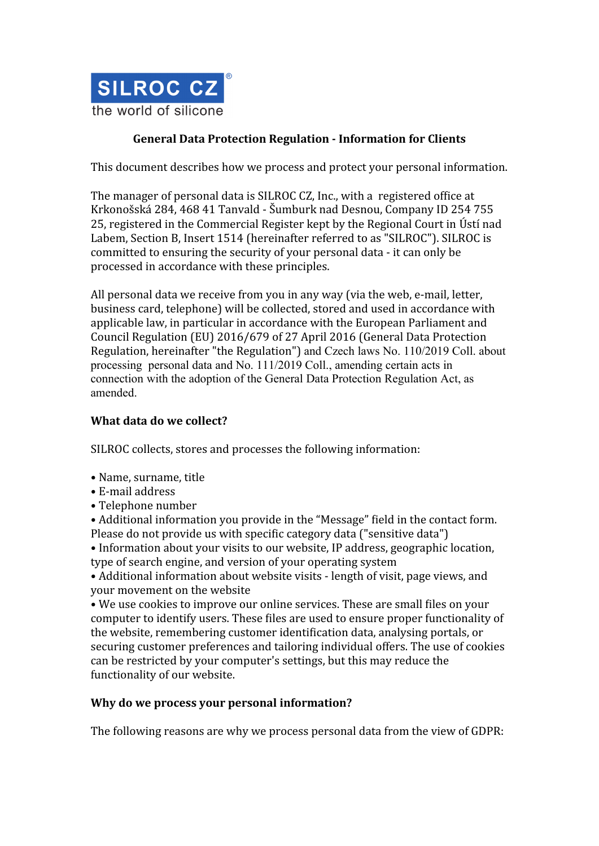

# **General Data Protection Regulation - Information for Clients**

This document describes how we process and protect your personal information.

The manager of personal data is SILROC CZ, Inc., with a registered office at Krkonošská 284, 468 41 Tanvald - Šumburk nad Desnou, Company ID 254 755 25, registered in the Commercial Register kept by the Regional Court in Ústí nad Labem, Section B, Insert 1514 (hereinafter referred to as "SILROC"). SILROC is committed to ensuring the security of your personal data - it can only be processed in accordance with these principles.

All personal data we receive from you in any way (via the web, e-mail, letter, business card, telephone) will be collected, stored and used in accordance with applicable law, in particular in accordance with the European Parliament and Council Regulation (EU) 2016/679 of 27 April 2016 (General Data Protection Regulation, hereinafter "the Regulation") and Czech laws No. 110/2019 Coll. about processing personal data and No. 111/2019 Coll., amending certain acts in connection with the adoption of the General Data Protection Regulation Act, as amended.

### **What data do we collect?**

SILROC collects, stores and processes the following information:

- Name, surname, title
- E-mail address
- Telephone number

• Additional information you provide in the "Message" field in the contact form. Please do not provide us with specific category data ("sensitive data")

• Information about your visits to our website, IP address, geographic location, type of search engine, and version of your operating system

• Additional information about website visits - length of visit, page views, and your movement on the website

• We use cookies to improve our online services. These are small files on your computer to identify users. These files are used to ensure proper functionality of the website, remembering customer identification data, analysing portals, or securing customer preferences and tailoring individual offers. The use of cookies can be restricted by your computer's settings, but this may reduce the functionality of our website.

#### **Why do we process your personal information?**

The following reasons are why we process personal data from the view of GDPR: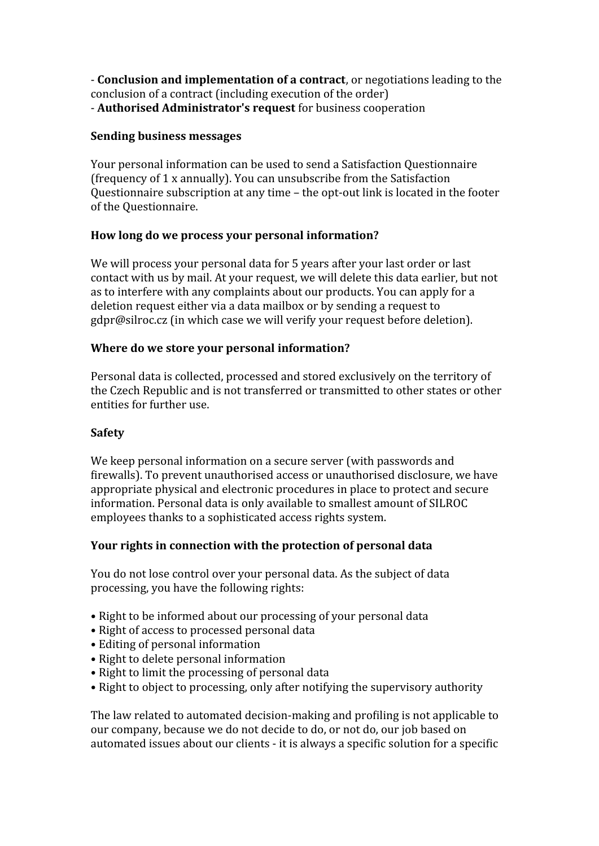- **Conclusion and implementation of a contract**, or negotiations leading to the conclusion of a contract (including execution of the order) - **Authorised Administrator's request** for business cooperation

#### **Sending business messages**

Your personal information can be used to send a Satisfaction Questionnaire (frequency of 1 x annually). You can unsubscribe from the Satisfaction Questionnaire subscription at any time – the opt-out link is located in the footer of the Questionnaire.

# **How long do we process your personal information?**

We will process your personal data for 5 years after your last order or last contact with us by mail. At your request, we will delete this data earlier, but not as to interfere with any complaints about our products. You can apply for a deletion request either via a data mailbox or by sending a request to gdpr@silroc.cz (in which case we will verify your request before deletion).

#### **Where do we store your personal information?**

Personal data is collected, processed and stored exclusively on the territory of the Czech Republic and is not transferred or transmitted to other states or other entities for further use.

# **Safety**

We keep personal information on a secure server (with passwords and firewalls). To prevent unauthorised access or unauthorised disclosure, we have appropriate physical and electronic procedures in place to protect and secure information. Personal data is only available to smallest amount of SILROC employees thanks to a sophisticated access rights system.

# **Your rights in connection with the protection of personal data**

You do not lose control over your personal data. As the subject of data processing, you have the following rights:

- Right to be informed about our processing of your personal data
- Right of access to processed personal data
- Editing of personal information
- Right to delete personal information
- Right to limit the processing of personal data
- Right to object to processing, only after notifying the supervisory authority

The law related to automated decision-making and profiling is not applicable to our company, because we do not decide to do, or not do, our job based on automated issues about our clients - it is always a specific solution for a specific